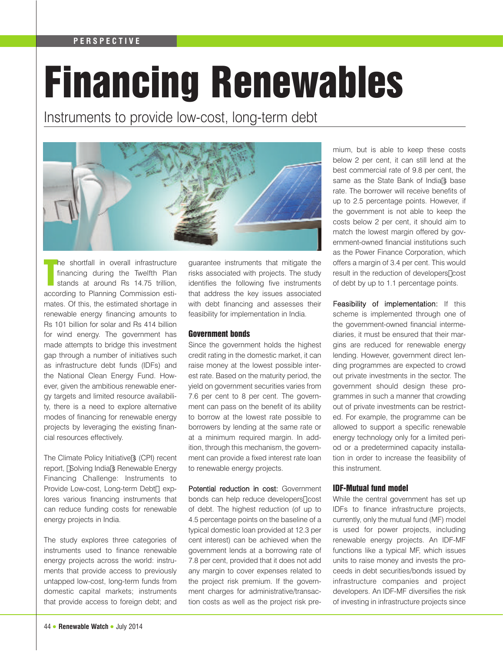# **PERSPECTIVE**

# Financing Renewables

Instruments to provide low-cost, long-term debt



T he shortfall in overall infrastructure financing during the Twelfth Plan stands at around Rs 14.75 trillion, according to Planning Commission estimates. Of this, the estimated shortage in renewable energy financing amounts to Rs 101 billion for solar and Rs 414 billion for wind energy. The government has made attempts to bridge this investment gap through a number of initiatives such as infrastructure debt funds (IDFs) and the National Clean Energy Fund. However, given the ambitious renewable energy targets and limited resource availability, there is a need to explore alternative modes of financing for renewable energy projects by leveraging the existing financial resources effectively.

The Climate Policy Initiative's (CPI) recent report, "Solving India's Renewable Energy Financing Challenge: Instruments to Provide Low-cost, Long-term Debt", explores various financing instruments that can reduce funding costs for renewable energy projects in India.

The study explores three categories of instruments used to finance renewable energy projects across the world: instruments that provide access to previously untapped low-cost, long-term funds from domestic capital markets; instruments that provide access to foreign debt; and

guarantee instruments that mitigate the risks associated with projects. The study identifies the following five instruments that address the key issues associated with debt financing and assesses their feasibility for implementation in India.

# Government bonds

Since the government holds the highest credit rating in the domestic market, it can raise money at the lowest possible interest rate. Based on the maturity period, the yield on government securities varies from 7.6 per cent to 8 per cent. The government can pass on the benefit of its ability to borrow at the lowest rate possible to borrowers by lending at the same rate or at a minimum required margin. In addition, through this mechanism, the government can provide a fixed interest rate loan to renewable energy projects.

Potential reduction in cost: Government bonds can help reduce developers' cost of debt. The highest reduction (of up to 4.5 percentage points on the baseline of a typical domestic loan provided at 12.3 per cent interest) can be achieved when the government lends at a borrowing rate of 7.8 per cent, provided that it does not add any margin to cover expenses related to the project risk premium. If the government charges for administrative/transaction costs as well as the project risk premium, but is able to keep these costs below 2 per cent, it can still lend at the best commercial rate of 9.8 per cent, the same as the State Bank of India's base rate. The borrower will receive benefits of up to 2.5 percentage points. However, if the government is not able to keep the costs below 2 per cent, it should aim to match the lowest margin offered by government-owned financial institutions such as the Power Finance Corporation, which offers a margin of 3.4 per cent. This would result in the reduction of developers' cost of debt by up to 1.1 percentage points.

Feasibility of implementation: If this scheme is implemented through one of the government-owned financial intermediaries, it must be ensured that their margins are reduced for renewable energy lending. However, government direct lending programmes are expected to crowd out private investments in the sector. The government should design these programmes in such a manner that crowding out of private investments can be restricted. For example, the programme can be allowed to support a specific renewable energy technology only for a limited period or a predetermined capacity installation in order to increase the feasibility of this instrument.

# IDF-Mutual fund model

While the central government has set up IDFs to finance infrastructure projects, currently, only the mutual fund (MF) model is used for power projects, including renewable energy projects. An IDF-MF functions like a typical MF, which issues units to raise money and invests the proceeds in debt securities/bonds issued by infrastructure companies and project developers. An IDF-MF diversifies the risk of investing in infrastructure projects since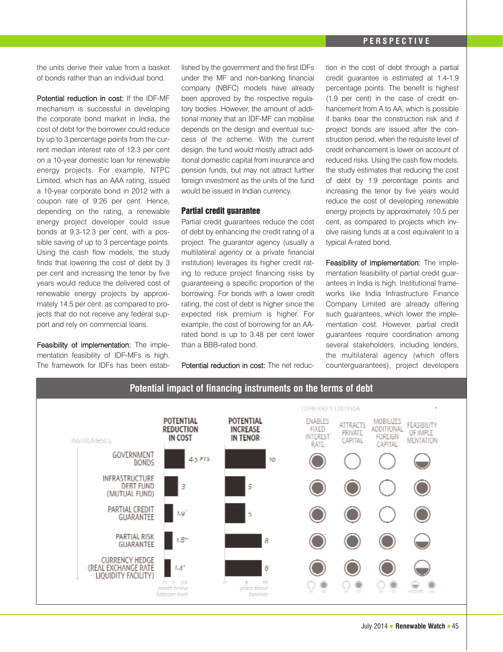the units derive their value from a basket of bonds rather than an individual bond.

Potential reduction in cost: If the IDF-MF mechanism is successful in developing the corporate bond market in India, the cost of debt for the borrower could reduce by up to 3 percentage points from the current median interest rate of 12.3 per cent on a 10-year domestic loan for renewable energy projects. For example, NTPC Limited, which has an AAA rating, issued a 10-year corporate bond in 2012 with a coupon rate of 9.26 per cent. Hence, depending on the rating, a renewable energy project developer could issue bonds at 9.3-12.3 per cent, with a possible saving of up to 3 percentage points. Using the cash flow models, the study finds that lowering the cost of debt by 3 per cent and increasing the tenor by five years would reduce the delivered cost of renewable energy projects by approximately 14.5 per cent, as compared to projects that do not receive any federal support and rely on commercial loans.

Feasibility of implementation: The implementation feasibility of IDF-MFs is high. The framework for IDFs has been established by the government and the first IDFs under the MF and non-banking financial company (NBFC) models have already been approved by the respective regulatory bodies. However, the amount of additional money that an IDF-MF can mobilise depends on the design and eventual success of the scheme. With the current design, the fund would mostly attract additional domestic capital from insurance and pension funds, but may not attract further foreign investment as the units of the fund would be issued in Indian currency.

## Partial credit guarantee

Partial credit guarantees reduce the cost of debt by enhancing the credit rating of a project. The guarantor agency (usually a multilateral agency or a private financial institution) leverages its higher credit rating to reduce project financing risks by guaranteeing a specific proportion of the borrowing. For bonds with a lower credit rating, the cost of debt is higher since the expected risk premium is higher. For example, the cost of borrowing for an AArated bond is up to 3.48 per cent lower than a BBB-rated bond.

Potential reduction in cost: The net reduc-

tion in the cost of debt through a partial credit guarantee is estimated at 1.4-1.9 percentage points. The benefit is highest (1.9 per cent) in the case of credit enhancement from A to AA, which is possible if banks bear the construction risk and if project bonds are issued after the construction period, when the requisite level of credit enhancement is lower on account of reduced risks. Using the cash flow models, the study estimates that reducing the cost of debt by 1.9 percentage points and increasing the tenor by five years would reduce the cost of developing renewable energy projects by approximately 10.5 per cent, as compared to projects which involve raising funds at a cost equivalent to a typical A-rated bond.

Feasibility of implementation: The implementation feasibility of partial credit quarantees in India is high. Institutional frameworks like India Infrastructure Finance Company Limited are already offering such guarantees, which lower the implementation cost. However, partial credit guarantees require coordination among several stakeholders, including lenders, the multilateral agency (which offers counterguarantees), project developers